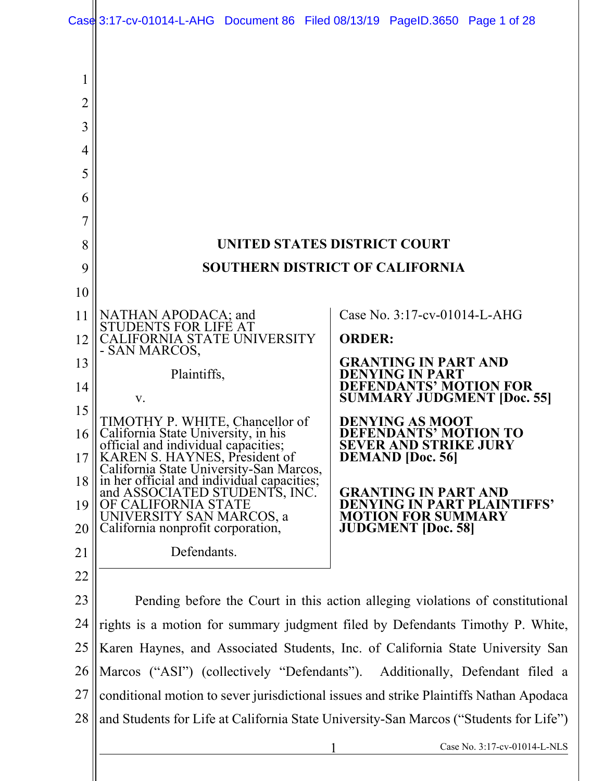| $\overline{2}$ |                                                                                                                                                                                                                                         |                                                                                 |
|----------------|-----------------------------------------------------------------------------------------------------------------------------------------------------------------------------------------------------------------------------------------|---------------------------------------------------------------------------------|
| 3              |                                                                                                                                                                                                                                         |                                                                                 |
| 4              |                                                                                                                                                                                                                                         |                                                                                 |
| 5              |                                                                                                                                                                                                                                         |                                                                                 |
| 6              |                                                                                                                                                                                                                                         |                                                                                 |
| 7              |                                                                                                                                                                                                                                         |                                                                                 |
| 8              | UNITED STATES DISTRICT COURT                                                                                                                                                                                                            |                                                                                 |
| 9              | <b>SOUTHERN DISTRICT OF CALIFORNIA</b>                                                                                                                                                                                                  |                                                                                 |
| 10             |                                                                                                                                                                                                                                         |                                                                                 |
| 11             | NATHAN APODACA; and<br>STUDENTS FOR LIFE AT                                                                                                                                                                                             | Case No. 3:17-cv-01014-L-AHG                                                    |
| 12             | CALIFORNIA STATE UNIVERSITY                                                                                                                                                                                                             | <b>ORDER:</b>                                                                   |
| 13             | - SAN MARCOS,<br>Plaintiffs,                                                                                                                                                                                                            | <b>GRANTING IN PART AND</b><br><b>DENYING IN PART</b>                           |
| 14             |                                                                                                                                                                                                                                         | <b>DEFENDANTS' MOTION FOR</b>                                                   |
| 15             | V.                                                                                                                                                                                                                                      | <b>SUMMARY JUDGMENT [Doc. 55]</b>                                               |
| 16             | TIMOTHY P. WHITE, Chancellor of<br>California State University, in his<br>official and individual capacities;<br>KAREN S. HAYNES, President of<br>California State University-San Marcos,<br>in her official and individual capacities; | <b>DENYING AS MOOT</b><br>DEFENDANTS' MOTION TO<br><b>SEVER AND STRIKE JURY</b> |
| 17             |                                                                                                                                                                                                                                         | <b>DEMAND</b> [Doc. 56]                                                         |
| 18             | and ASSOCIATED STUDENT'S, INC.                                                                                                                                                                                                          | <b>GRANTING IN PART AND</b>                                                     |
| 19             | OF CALIFORNIA STATE<br>UNIVERSITY SAN MARCOS, a                                                                                                                                                                                         | <b>DENYING IN PART PLAINTIFFS'</b><br>ION FOR SUMMARY                           |
| 20             | California nonprofit corporation,                                                                                                                                                                                                       | <b>JUDGMENT</b> [Doc. 58]                                                       |
| 21             | Defendants.                                                                                                                                                                                                                             |                                                                                 |
| 22             |                                                                                                                                                                                                                                         |                                                                                 |
| 23             | Pending before the Court in this action alleging violations of constitutional                                                                                                                                                           |                                                                                 |
| 24             | rights is a motion for summary judgment filed by Defendants Timothy P. White,                                                                                                                                                           |                                                                                 |
| 25             | Karen Haynes, and Associated Students, Inc. of California State University San                                                                                                                                                          |                                                                                 |
| 26             | Marcos ("ASI") (collectively "Defendants"). Additionally, Defendant filed a                                                                                                                                                             |                                                                                 |
| 27             | conditional motion to sever jurisdictional issues and strike Plaintiffs Nathan Apodaca                                                                                                                                                  |                                                                                 |
| 28             | and Students for Life at California State University-San Marcos ("Students for Life")                                                                                                                                                   |                                                                                 |
|                |                                                                                                                                                                                                                                         | Case No. 3:17-cv-01014-L-NLS                                                    |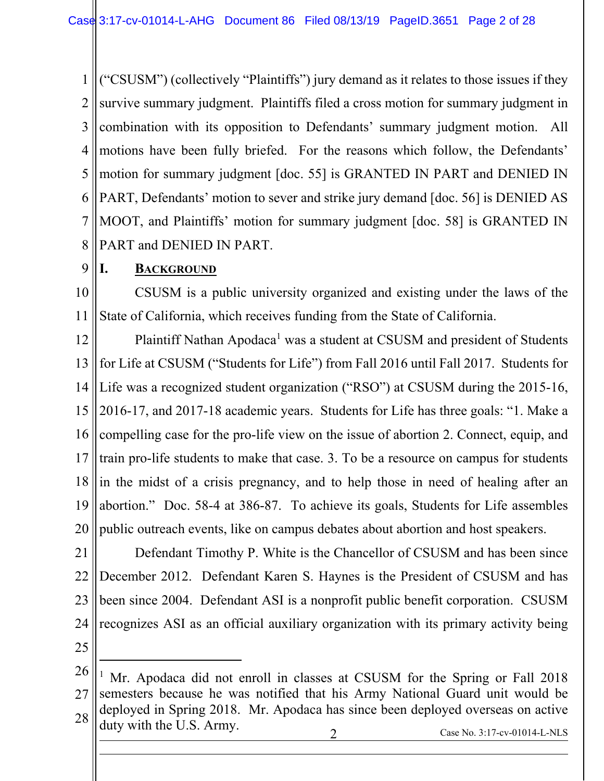1 2 3 4 5 6 7 8 ("CSUSM") (collectively "Plaintiffs") jury demand as it relates to those issues if they survive summary judgment. Plaintiffs filed a cross motion for summary judgment in combination with its opposition to Defendants' summary judgment motion. All motions have been fully briefed. For the reasons which follow, the Defendants' motion for summary judgment [doc. 55] is GRANTED IN PART and DENIED IN PART, Defendants' motion to sever and strike jury demand [doc. 56] is DENIED AS MOOT, and Plaintiffs' motion for summary judgment [doc. 58] is GRANTED IN PART and DENIED IN PART.

#### 9 **I. BACKGROUND**

10 11 CSUSM is a public university organized and existing under the laws of the State of California, which receives funding from the State of California.

12 13 14 15 16 17 18 19 20 Plaintiff Nathan Apodaca<sup>1</sup> was a student at CSUSM and president of Students for Life at CSUSM ("Students for Life") from Fall 2016 until Fall 2017. Students for Life was a recognized student organization ("RSO") at CSUSM during the 2015-16, 2016-17, and 2017-18 academic years. Students for Life has three goals: "1. Make a compelling case for the pro-life view on the issue of abortion 2. Connect, equip, and train pro-life students to make that case. 3. To be a resource on campus for students in the midst of a crisis pregnancy, and to help those in need of healing after an abortion." Doc. 58-4 at 386-87. To achieve its goals, Students for Life assembles public outreach events, like on campus debates about abortion and host speakers.

21 22 23 24 Defendant Timothy P. White is the Chancellor of CSUSM and has been since December 2012. Defendant Karen S. Haynes is the President of CSUSM and has been since 2004. Defendant ASI is a nonprofit public benefit corporation. CSUSM recognizes ASI as an official auxiliary organization with its primary activity being

25

 $\overline{a}$ 

 $\overline{a}$ 

<sup>26</sup> 27 28 2 Case No. 3:17-cv-01014-L-NLS <sup>1</sup> Mr. Apodaca did not enroll in classes at CSUSM for the Spring or Fall 2018 semesters because he was notified that his Army National Guard unit would be deployed in Spring 2018. Mr. Apodaca has since been deployed overseas on active duty with the U.S. Army.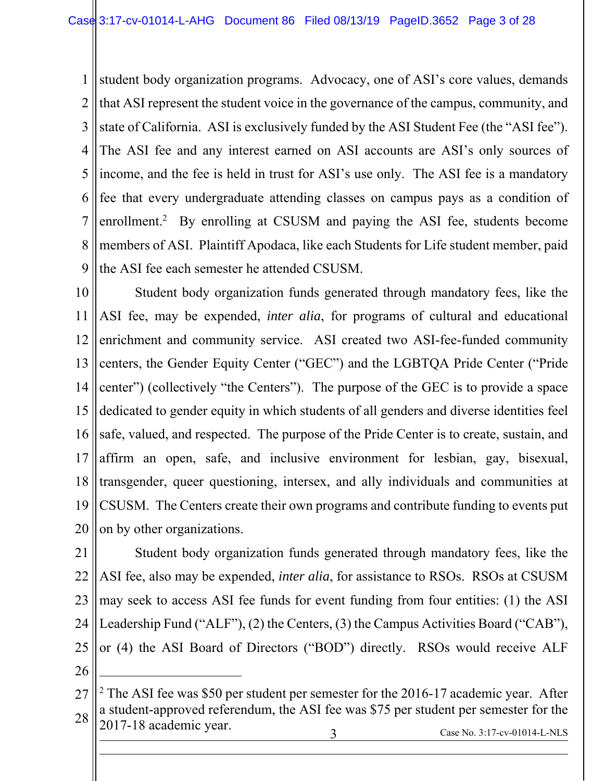1 2 3 4 5 6 7 8 9 student body organization programs. Advocacy, one of ASI's core values, demands that ASI represent the student voice in the governance of the campus, community, and state of California. ASI is exclusively funded by the ASI Student Fee (the "ASI fee"). The ASI fee and any interest earned on ASI accounts are ASI's only sources of income, and the fee is held in trust for ASI's use only. The ASI fee is a mandatory fee that every undergraduate attending classes on campus pays as a condition of enrollment.<sup>2</sup> By enrolling at CSUSM and paying the ASI fee, students become members of ASI. Plaintiff Apodaca, like each Students for Life student member, paid the ASI fee each semester he attended CSUSM.

10 11 12 13 14 15 16 17 18 19 20 Student body organization funds generated through mandatory fees, like the ASI fee, may be expended, *inter alia*, for programs of cultural and educational enrichment and community service. ASI created two ASI-fee-funded community centers, the Gender Equity Center ("GEC") and the LGBTQA Pride Center ("Pride center") (collectively "the Centers"). The purpose of the GEC is to provide a space dedicated to gender equity in which students of all genders and diverse identities feel safe, valued, and respected. The purpose of the Pride Center is to create, sustain, and affirm an open, safe, and inclusive environment for lesbian, gay, bisexual, transgender, queer questioning, intersex, and ally individuals and communities at CSUSM. The Centers create their own programs and contribute funding to events put on by other organizations.

21 22 23 24 25 Student body organization funds generated through mandatory fees, like the ASI fee, also may be expended, *inter alia*, for assistance to RSOs. RSOs at CSUSM may seek to access ASI fee funds for event funding from four entities: (1) the ASI Leadership Fund ("ALF"), (2) the Centers, (3) the Campus Activities Board ("CAB"), or (4) the ASI Board of Directors ("BOD") directly. RSOs would receive ALF

26

 $\overline{a}$ 

l

<sup>27</sup> 28 3 Case No. 3:17-cv-01014-L-NLS <sup>2</sup> The ASI fee was \$50 per student per semester for the 2016-17 academic year. After a student-approved referendum, the ASI fee was \$75 per student per semester for the 2017-18 academic year.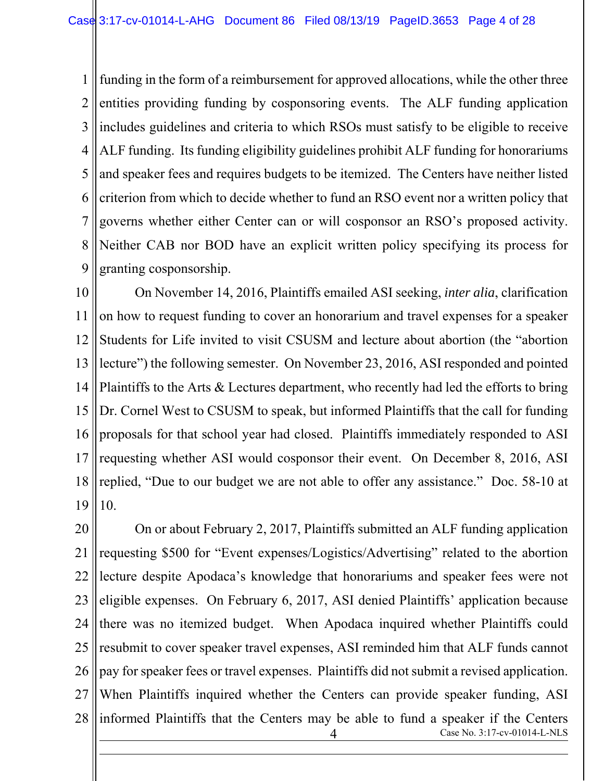1 2 3 4 5 6 7 8 9 funding in the form of a reimbursement for approved allocations, while the other three entities providing funding by cosponsoring events. The ALF funding application includes guidelines and criteria to which RSOs must satisfy to be eligible to receive ALF funding. Its funding eligibility guidelines prohibit ALF funding for honorariums and speaker fees and requires budgets to be itemized. The Centers have neither listed criterion from which to decide whether to fund an RSO event nor a written policy that governs whether either Center can or will cosponsor an RSO's proposed activity. Neither CAB nor BOD have an explicit written policy specifying its process for granting cosponsorship.

10 11 12 13 14 15 16 17 18 19 On November 14, 2016, Plaintiffs emailed ASI seeking, *inter alia*, clarification on how to request funding to cover an honorarium and travel expenses for a speaker Students for Life invited to visit CSUSM and lecture about abortion (the "abortion lecture") the following semester. On November 23, 2016, ASI responded and pointed Plaintiffs to the Arts & Lectures department, who recently had led the efforts to bring Dr. Cornel West to CSUSM to speak, but informed Plaintiffs that the call for funding proposals for that school year had closed. Plaintiffs immediately responded to ASI requesting whether ASI would cosponsor their event. On December 8, 2016, ASI replied, "Due to our budget we are not able to offer any assistance." Doc. 58-10 at 10.

20 21 22 23 24 25 26 27 28 Case No. 3:17-cv-01014-L-NLS  $\overline{a}$ On or about February 2, 2017, Plaintiffs submitted an ALF funding application requesting \$500 for "Event expenses/Logistics/Advertising" related to the abortion lecture despite Apodaca's knowledge that honorariums and speaker fees were not eligible expenses. On February 6, 2017, ASI denied Plaintiffs' application because there was no itemized budget. When Apodaca inquired whether Plaintiffs could resubmit to cover speaker travel expenses, ASI reminded him that ALF funds cannot pay for speaker fees or travel expenses. Plaintiffs did not submit a revised application. When Plaintiffs inquired whether the Centers can provide speaker funding, ASI informed Plaintiffs that the Centers may be able to fund a speaker if the Centers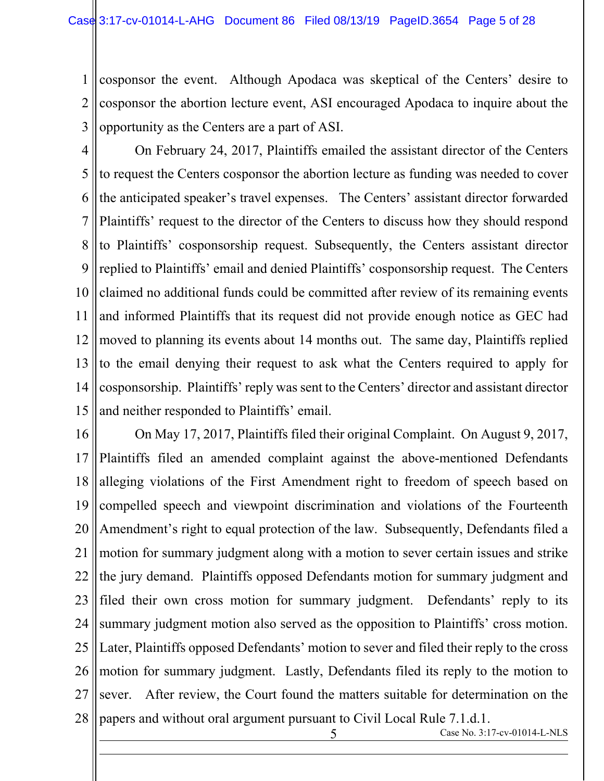1 2 cosponsor the event. Although Apodaca was skeptical of the Centers' desire to cosponsor the abortion lecture event, ASI encouraged Apodaca to inquire about the opportunity as the Centers are a part of ASI.

3

 $\overline{a}$ 

4 5 6 7 8 9 10 11 12 13 14 15 On February 24, 2017, Plaintiffs emailed the assistant director of the Centers to request the Centers cosponsor the abortion lecture as funding was needed to cover the anticipated speaker's travel expenses. The Centers' assistant director forwarded Plaintiffs' request to the director of the Centers to discuss how they should respond to Plaintiffs' cosponsorship request. Subsequently, the Centers assistant director replied to Plaintiffs' email and denied Plaintiffs' cosponsorship request. The Centers claimed no additional funds could be committed after review of its remaining events and informed Plaintiffs that its request did not provide enough notice as GEC had moved to planning its events about 14 months out. The same day, Plaintiffs replied to the email denying their request to ask what the Centers required to apply for cosponsorship. Plaintiffs' reply was sent to the Centers' director and assistant director and neither responded to Plaintiffs' email.

16 17 18 19 20 21 22 23 24 25 26 27 28 On May 17, 2017, Plaintiffs filed their original Complaint. On August 9, 2017, Plaintiffs filed an amended complaint against the above-mentioned Defendants alleging violations of the First Amendment right to freedom of speech based on compelled speech and viewpoint discrimination and violations of the Fourteenth Amendment's right to equal protection of the law. Subsequently, Defendants filed a motion for summary judgment along with a motion to sever certain issues and strike the jury demand. Plaintiffs opposed Defendants motion for summary judgment and filed their own cross motion for summary judgment. Defendants' reply to its summary judgment motion also served as the opposition to Plaintiffs' cross motion. Later, Plaintiffs opposed Defendants' motion to sever and filed their reply to the cross motion for summary judgment. Lastly, Defendants filed its reply to the motion to sever. After review, the Court found the matters suitable for determination on the papers and without oral argument pursuant to Civil Local Rule 7.1.d.1.

5 Case No. 3:17-cv-01014-L-NLS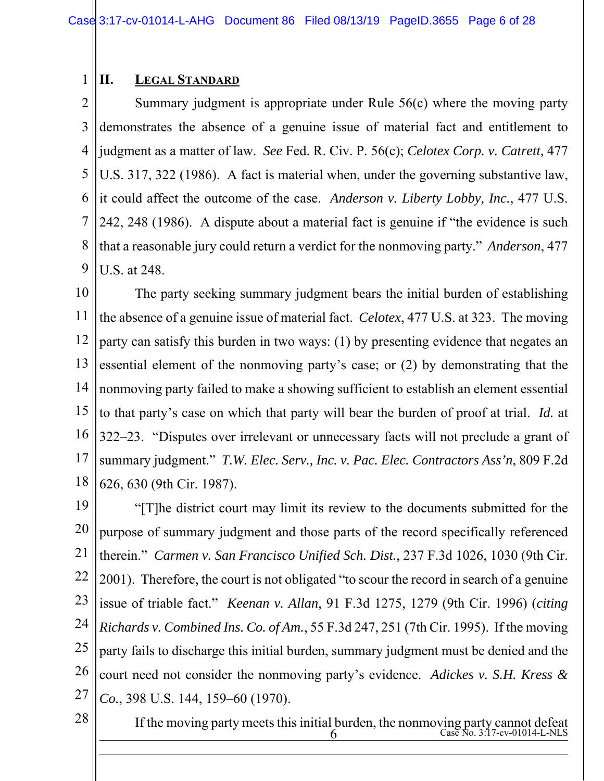#### 1 **II. LEGAL STANDARD**

2 3 4 5 6 7 8 9 Summary judgment is appropriate under Rule 56(c) where the moving party demonstrates the absence of a genuine issue of material fact and entitlement to judgment as a matter of law. *See* Fed. R. Civ. P. 56(c); *Celotex Corp. v. Catrett,* 477 U.S. 317, 322 (1986). A fact is material when, under the governing substantive law, it could affect the outcome of the case. *Anderson v. Liberty Lobby, Inc.*, 477 U.S. 242, 248 (1986). A dispute about a material fact is genuine if "the evidence is such that a reasonable jury could return a verdict for the nonmoving party." *Anderson*, 477 U.S. at 248.

10 11 12 13 14 15 16 17 18 The party seeking summary judgment bears the initial burden of establishing the absence of a genuine issue of material fact. *Celotex*, 477 U.S. at 323. The moving party can satisfy this burden in two ways: (1) by presenting evidence that negates an essential element of the nonmoving party's case; or (2) by demonstrating that the nonmoving party failed to make a showing sufficient to establish an element essential to that party's case on which that party will bear the burden of proof at trial. *Id.* at 322–23. "Disputes over irrelevant or unnecessary facts will not preclude a grant of summary judgment." *T.W. Elec. Serv., Inc. v. Pac. Elec. Contractors Ass'n*, 809 F.2d 626, 630 (9th Cir. 1987).

19 20 21 22 23 24 25 26 27 "[T]he district court may limit its review to the documents submitted for the purpose of summary judgment and those parts of the record specifically referenced therein." *Carmen v. San Francisco Unified Sch. Dist.*, 237 F.3d 1026, 1030 (9th Cir. 2001). Therefore, the court is not obligated "to scour the record in search of a genuine issue of triable fact." *Keenan v. Allan*, 91 F.3d 1275, 1279 (9th Cir. 1996) (*citing Richards v. Combined Ins. Co. of Am.*, 55 F.3d 247, 251 (7th Cir. 1995). If the moving party fails to discharge this initial burden, summary judgment must be denied and the court need not consider the nonmoving party's evidence. *Adickes v. S.H. Kress & Co.*, 398 U.S. 144, 159–60 (1970).

28

 $\overline{a}$ 

 $6 \,$  Case No. 3:17-cv-01014-L-NLS If the moving party meets this initial burden, the nonmoving party cannot defeat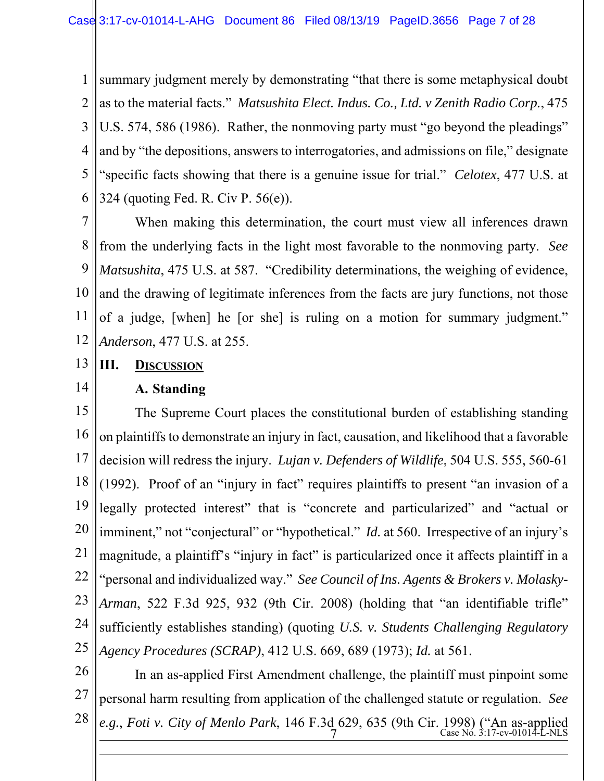1 2 3 4 5 6 summary judgment merely by demonstrating "that there is some metaphysical doubt as to the material facts." *Matsushita Elect. Indus. Co., Ltd. v Zenith Radio Corp.*, 475 U.S. 574, 586 (1986). Rather, the nonmoving party must "go beyond the pleadings" and by "the depositions, answers to interrogatories, and admissions on file," designate "specific facts showing that there is a genuine issue for trial." *Celotex*, 477 U.S. at 324 (quoting Fed. R. Civ P. 56(e)).

7 8 9 10 11 12 When making this determination, the court must view all inferences drawn from the underlying facts in the light most favorable to the nonmoving party. *See Matsushita*, 475 U.S. at 587. "Credibility determinations, the weighing of evidence, and the drawing of legitimate inferences from the facts are jury functions, not those of a judge, [when] he [or she] is ruling on a motion for summary judgment." *Anderson*, 477 U.S. at 255.

### **III. DISCUSSION**

13

14

 $\overline{a}$ 

### **A. Standing**

15 16 17 18 19 20 21 22 23 24 25 The Supreme Court places the constitutional burden of establishing standing on plaintiffs to demonstrate an injury in fact, causation, and likelihood that a favorable decision will redress the injury. *Lujan v. Defenders of Wildlife*, 504 U.S. 555, 560-61 (1992). Proof of an "injury in fact" requires plaintiffs to present "an invasion of a legally protected interest" that is "concrete and particularized" and "actual or imminent," not "conjectural" or "hypothetical." *Id.* at 560. Irrespective of an injury's magnitude, a plaintiff's "injury in fact" is particularized once it affects plaintiff in a "personal and individualized way." *See Council of Ins. Agents & Brokers v. Molasky-Arman*, 522 F.3d 925, 932 (9th Cir. 2008) (holding that "an identifiable trifle" sufficiently establishes standing) (quoting *U.S. v. Students Challenging Regulatory Agency Procedures (SCRAP)*, 412 U.S. 669, 689 (1973); *Id.* at 561.

26 27 28 7 Case No. 3:17-cv-01014-L-NLS In an as-applied First Amendment challenge, the plaintiff must pinpoint some personal harm resulting from application of the challenged statute or regulation. *See e.g.*, *Foti v. City of Menlo Park*, 146 F.3d 629, 635 (9th Cir. 1998) ("An as-applied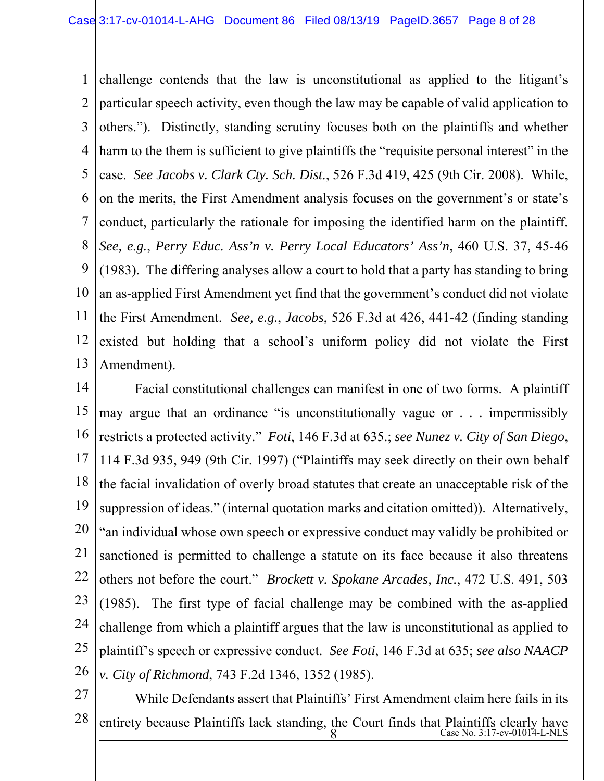1 2 3 4 5 6 7 8 9 10 11 12 13 challenge contends that the law is unconstitutional as applied to the litigant's particular speech activity, even though the law may be capable of valid application to others."). Distinctly, standing scrutiny focuses both on the plaintiffs and whether harm to the them is sufficient to give plaintiffs the "requisite personal interest" in the case. *See Jacobs v. Clark Cty. Sch. Dist.*, 526 F.3d 419, 425 (9th Cir. 2008). While, on the merits, the First Amendment analysis focuses on the government's or state's conduct, particularly the rationale for imposing the identified harm on the plaintiff. *See, e.g.*, *Perry Educ. Ass'n v. Perry Local Educators' Ass'n*, 460 U.S. 37, 45-46 (1983). The differing analyses allow a court to hold that a party has standing to bring an as-applied First Amendment yet find that the government's conduct did not violate the First Amendment. *See, e.g.*, *Jacobs*, 526 F.3d at 426, 441-42 (finding standing existed but holding that a school's uniform policy did not violate the First Amendment).

14 15 16 17 18 19 20 21 22 23 24 25 26 Facial constitutional challenges can manifest in one of two forms. A plaintiff may argue that an ordinance "is unconstitutionally vague or . . . impermissibly restricts a protected activity." *Foti*, 146 F.3d at 635.; *see Nunez v. City of San Diego*, 114 F.3d 935, 949 (9th Cir. 1997) ("Plaintiffs may seek directly on their own behalf the facial invalidation of overly broad statutes that create an unacceptable risk of the suppression of ideas." (internal quotation marks and citation omitted)). Alternatively, "an individual whose own speech or expressive conduct may validly be prohibited or sanctioned is permitted to challenge a statute on its face because it also threatens others not before the court." *Brockett v. Spokane Arcades, Inc.*, 472 U.S. 491, 503 (1985). The first type of facial challenge may be combined with the as-applied challenge from which a plaintiff argues that the law is unconstitutional as applied to plaintiff's speech or expressive conduct. *See Foti*, 146 F.3d at 635; *see also NAACP v. City of Richmond*, 743 F.2d 1346, 1352 (1985).

27

 $\overline{a}$ 

28 8 Case No. 3:17-cv-01014-L-NLS While Defendants assert that Plaintiffs' First Amendment claim here fails in its entirety because Plaintiffs lack standing, the Court finds that Plaintiffs clearly have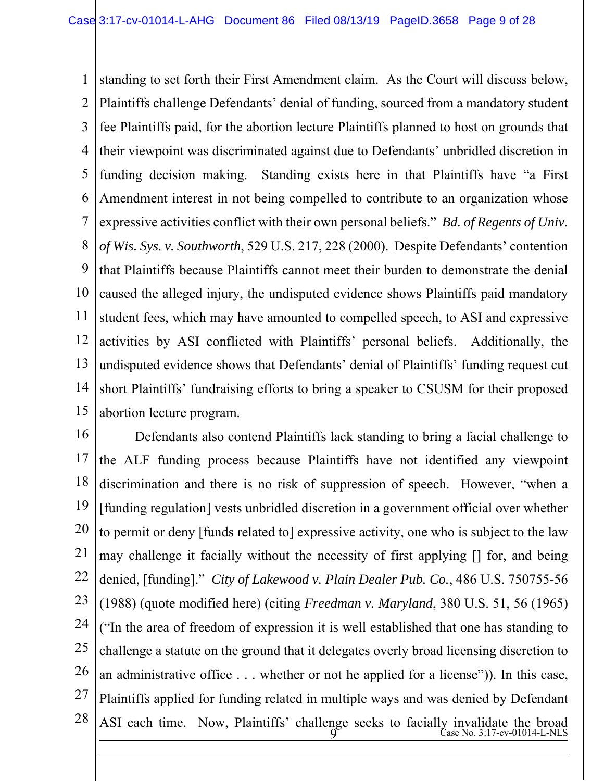1 2 3 4 5 6 7 8 9 10 11 12 13 14 15 standing to set forth their First Amendment claim. As the Court will discuss below, Plaintiffs challenge Defendants' denial of funding, sourced from a mandatory student fee Plaintiffs paid, for the abortion lecture Plaintiffs planned to host on grounds that their viewpoint was discriminated against due to Defendants' unbridled discretion in funding decision making. Standing exists here in that Plaintiffs have "a First Amendment interest in not being compelled to contribute to an organization whose expressive activities conflict with their own personal beliefs." *Bd. of Regents of Univ. of Wis. Sys. v. Southworth*, 529 U.S. 217, 228 (2000). Despite Defendants' contention that Plaintiffs because Plaintiffs cannot meet their burden to demonstrate the denial caused the alleged injury, the undisputed evidence shows Plaintiffs paid mandatory student fees, which may have amounted to compelled speech, to ASI and expressive activities by ASI conflicted with Plaintiffs' personal beliefs. Additionally, the undisputed evidence shows that Defendants' denial of Plaintiffs' funding request cut short Plaintiffs' fundraising efforts to bring a speaker to CSUSM for their proposed abortion lecture program.

16 17 18 19 20 21 22 23 24 25 26 27 28  $9<sup>o</sup>$  Case No. 3:17-cv-01014-L-NLS Defendants also contend Plaintiffs lack standing to bring a facial challenge to the ALF funding process because Plaintiffs have not identified any viewpoint discrimination and there is no risk of suppression of speech. However, "when a [funding regulation] vests unbridled discretion in a government official over whether to permit or deny [funds related to] expressive activity, one who is subject to the law may challenge it facially without the necessity of first applying [] for, and being denied, [funding]." *City of Lakewood v. Plain Dealer Pub. Co.*, 486 U.S. 750755-56 (1988) (quote modified here) (citing *Freedman v. Maryland*, 380 U.S. 51, 56 (1965) ("In the area of freedom of expression it is well established that one has standing to challenge a statute on the ground that it delegates overly broad licensing discretion to an administrative office . . . whether or not he applied for a license")). In this case, Plaintiffs applied for funding related in multiple ways and was denied by Defendant ASI each time. Now, Plaintiffs' challenge seeks to facially invalidate the broad

 $\overline{a}$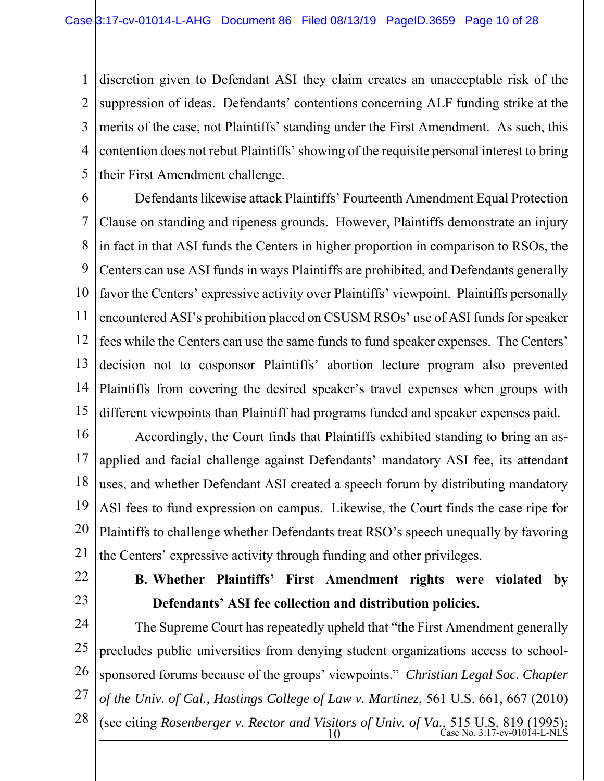1 2 3 4 5 discretion given to Defendant ASI they claim creates an unacceptable risk of the suppression of ideas. Defendants' contentions concerning ALF funding strike at the merits of the case, not Plaintiffs' standing under the First Amendment. As such, this contention does not rebut Plaintiffs' showing of the requisite personal interest to bring their First Amendment challenge.

6 7 8 9 10 11 12 13 14 15 Defendants likewise attack Plaintiffs' Fourteenth Amendment Equal Protection Clause on standing and ripeness grounds. However, Plaintiffs demonstrate an injury in fact in that ASI funds the Centers in higher proportion in comparison to RSOs, the Centers can use ASI funds in ways Plaintiffs are prohibited, and Defendants generally favor the Centers' expressive activity over Plaintiffs' viewpoint. Plaintiffs personally encountered ASI's prohibition placed on CSUSM RSOs' use of ASI funds for speaker fees while the Centers can use the same funds to fund speaker expenses. The Centers' decision not to cosponsor Plaintiffs' abortion lecture program also prevented Plaintiffs from covering the desired speaker's travel expenses when groups with different viewpoints than Plaintiff had programs funded and speaker expenses paid.

16 17 18 19 20 21 Accordingly, the Court finds that Plaintiffs exhibited standing to bring an asapplied and facial challenge against Defendants' mandatory ASI fee, its attendant uses, and whether Defendant ASI created a speech forum by distributing mandatory ASI fees to fund expression on campus. Likewise, the Court finds the case ripe for Plaintiffs to challenge whether Defendants treat RSO's speech unequally by favoring the Centers' expressive activity through funding and other privileges.

- 22
- 23

 $\overline{a}$ 

## **B. Whether Plaintiffs' First Amendment rights were violated by Defendants' ASI fee collection and distribution policies.**

24 25 26 27 28  $\frac{10}{20}$  Case No. 3:17-cv-01014-L-NLS The Supreme Court has repeatedly upheld that "the First Amendment generally precludes public universities from denying student organizations access to schoolsponsored forums because of the groups' viewpoints." *Christian Legal Soc. Chapter of the Univ. of Cal., Hastings College of Law v. Martinez*, 561 U.S. 661, 667 (2010) (see citing *Rosenberger v. Rector and Visitors of Univ. of Va.*, 515 U.S. 819 (1995);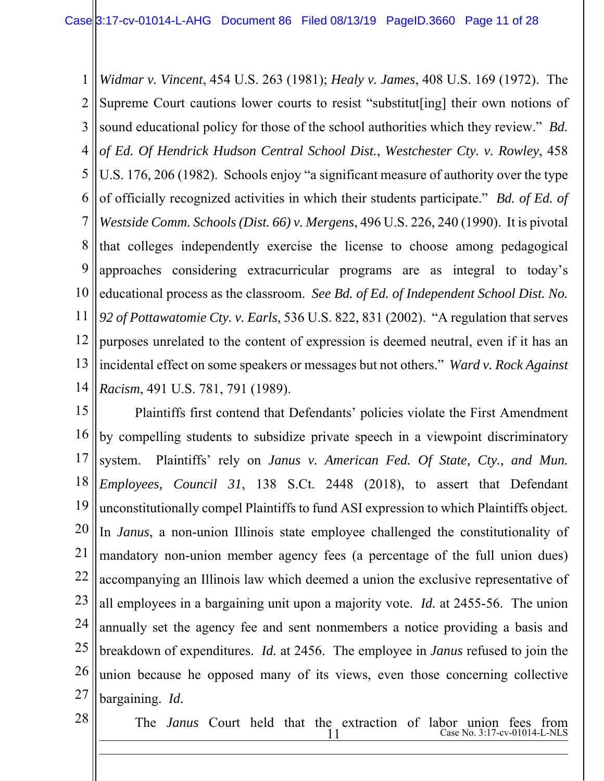1 2 3 4 5 6 7 8 9 10 11 12 13 14 *Widmar v. Vincent*, 454 U.S. 263 (1981); *Healy v. James*, 408 U.S. 169 (1972). The Supreme Court cautions lower courts to resist "substitut[ing] their own notions of sound educational policy for those of the school authorities which they review." *Bd. of Ed. Of Hendrick Hudson Central School Dist.*, *Westchester Cty. v. Rowley*, 458 U.S. 176, 206 (1982). Schools enjoy "a significant measure of authority over the type of officially recognized activities in which their students participate." *Bd. of Ed. of Westside Comm. Schools (Dist. 66) v. Mergens*, 496 U.S. 226, 240 (1990). It is pivotal that colleges independently exercise the license to choose among pedagogical approaches considering extracurricular programs are as integral to today's educational process as the classroom. *See Bd. of Ed. of Independent School Dist. No. 92 of Pottawatomie Cty. v. Earls*, 536 U.S. 822, 831 (2002). "A regulation that serves purposes unrelated to the content of expression is deemed neutral, even if it has an incidental effect on some speakers or messages but not others." *Ward v. Rock Against Racism*, 491 U.S. 781, 791 (1989).

15 16 17 18 19 20 21 22 23 24 25 26 27 Plaintiffs first contend that Defendants' policies violate the First Amendment by compelling students to subsidize private speech in a viewpoint discriminatory system. Plaintiffs' rely on *Janus v. American Fed. Of State, Cty., and Mun. Employees, Council 31*, 138 S.Ct. 2448 (2018), to assert that Defendant unconstitutionally compel Plaintiffs to fund ASI expression to which Plaintiffs object. In *Janus*, a non-union Illinois state employee challenged the constitutionality of mandatory non-union member agency fees (a percentage of the full union dues) accompanying an Illinois law which deemed a union the exclusive representative of all employees in a bargaining unit upon a majority vote. *Id.* at 2455-56. The union annually set the agency fee and sent nonmembers a notice providing a basis and breakdown of expenditures. *Id.* at 2456. The employee in *Janus* refused to join the union because he opposed many of its views, even those concerning collective bargaining. *Id.*

28

 $\overline{a}$ 

 $11$  Case No. 3:17-cv-01014-L-NLS The *Janus* Court held that the extraction of labor union fees from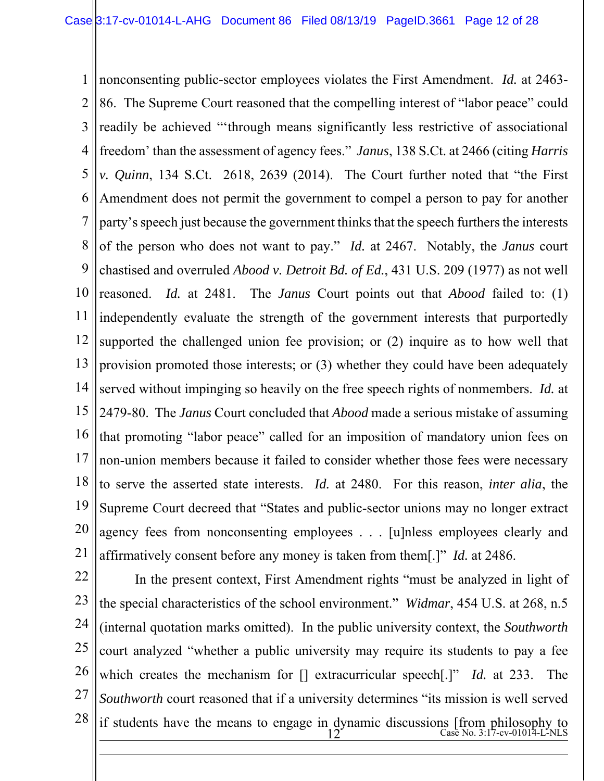1 2 3 4 5 6 7 8 9 10 11 12 13 14 15 16 17 18 19 20 21 nonconsenting public-sector employees violates the First Amendment. *Id.* at 2463- 86. The Supreme Court reasoned that the compelling interest of "labor peace" could readily be achieved "'through means significantly less restrictive of associational freedom' than the assessment of agency fees." *Janus*, 138 S.Ct. at 2466 (citing *Harris v. Quinn*, 134 S.Ct. 2618, 2639 (2014). The Court further noted that "the First Amendment does not permit the government to compel a person to pay for another party's speech just because the government thinks that the speech furthers the interests of the person who does not want to pay." *Id.* at 2467. Notably, the *Janus* court chastised and overruled *Abood v. Detroit Bd. of Ed.*, 431 U.S. 209 (1977) as not well reasoned. *Id.* at 2481. The *Janus* Court points out that *Abood* failed to: (1) independently evaluate the strength of the government interests that purportedly supported the challenged union fee provision; or (2) inquire as to how well that provision promoted those interests; or (3) whether they could have been adequately served without impinging so heavily on the free speech rights of nonmembers. *Id.* at 2479-80. The *Janus* Court concluded that *Abood* made a serious mistake of assuming that promoting "labor peace" called for an imposition of mandatory union fees on non-union members because it failed to consider whether those fees were necessary to serve the asserted state interests. *Id.* at 2480. For this reason, *inter alia*, the Supreme Court decreed that "States and public-sector unions may no longer extract agency fees from nonconsenting employees . . . [u]nless employees clearly and affirmatively consent before any money is taken from them[.]" *Id.* at 2486.

22 23 24 25 26 27 28  $\frac{12^{6} \text{ C}}{12^{6} \text{ C}} = 12^{6}$  Case No. 3:17-cv-01014-L-NLS  $\overline{a}$ In the present context, First Amendment rights "must be analyzed in light of the special characteristics of the school environment." *Widmar*, 454 U.S. at 268, n.5 (internal quotation marks omitted). In the public university context, the *Southworth*  court analyzed "whether a public university may require its students to pay a fee which creates the mechanism for [] extracurricular speech[.]" *Id.* at 233. The *Southworth* court reasoned that if a university determines "its mission is well served if students have the means to engage in dynamic discussions [from philosophy to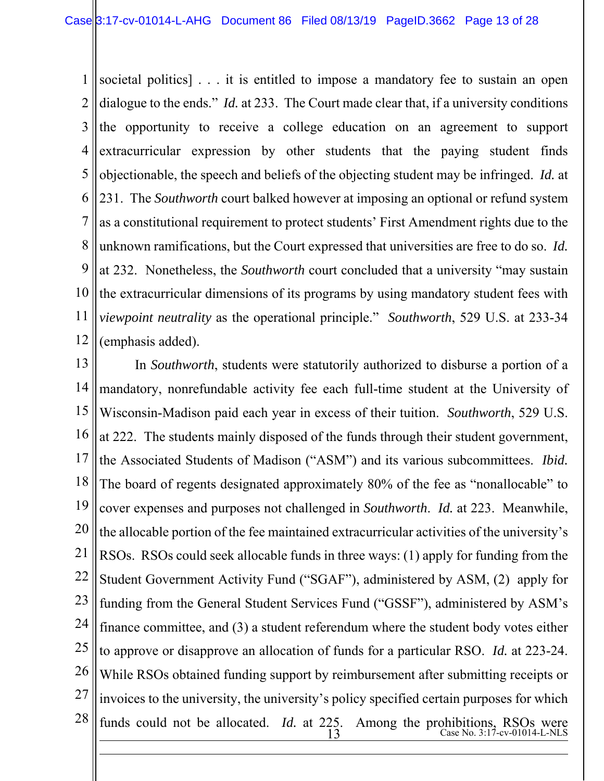1 2 3 4 5 6 7 8 9 10 11 12 societal politics] . . . it is entitled to impose a mandatory fee to sustain an open dialogue to the ends." *Id.* at 233. The Court made clear that, if a university conditions the opportunity to receive a college education on an agreement to support extracurricular expression by other students that the paying student finds objectionable, the speech and beliefs of the objecting student may be infringed. *Id.* at 231. The *Southworth* court balked however at imposing an optional or refund system as a constitutional requirement to protect students' First Amendment rights due to the unknown ramifications, but the Court expressed that universities are free to do so. *Id.* at 232. Nonetheless, the *Southworth* court concluded that a university "may sustain the extracurricular dimensions of its programs by using mandatory student fees with *viewpoint neutrality* as the operational principle." *Southworth*, 529 U.S. at 233-34 (emphasis added).

13 14 15 16 17 18 19 20 21 22 23 24 25 26 27 28  $\frac{13}{13}$  Case No. 3:17-cv-01014-L-NLS  $\overline{a}$ In *Southworth*, students were statutorily authorized to disburse a portion of a mandatory, nonrefundable activity fee each full-time student at the University of Wisconsin-Madison paid each year in excess of their tuition. *Southworth*, 529 U.S. at 222. The students mainly disposed of the funds through their student government, the Associated Students of Madison ("ASM") and its various subcommittees. *Ibid.*  The board of regents designated approximately 80% of the fee as "nonallocable" to cover expenses and purposes not challenged in *Southworth*. *Id.* at 223. Meanwhile, the allocable portion of the fee maintained extracurricular activities of the university's RSOs. RSOs could seek allocable funds in three ways: (1) apply for funding from the Student Government Activity Fund ("SGAF"), administered by ASM, (2) apply for funding from the General Student Services Fund ("GSSF"), administered by ASM's finance committee, and (3) a student referendum where the student body votes either to approve or disapprove an allocation of funds for a particular RSO. *Id.* at 223-24. While RSOs obtained funding support by reimbursement after submitting receipts or invoices to the university, the university's policy specified certain purposes for which funds could not be allocated. *Id.* at 225. Among the prohibitions, RSOs were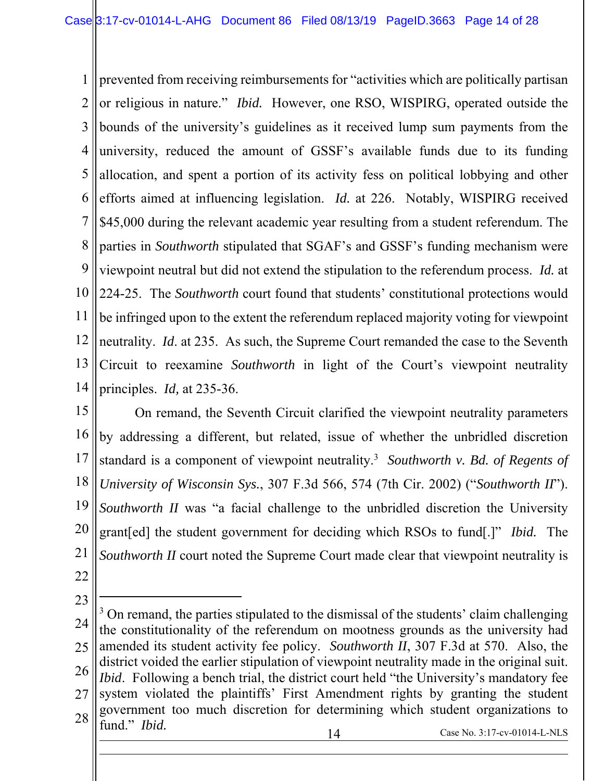1 2 3 4 5 6 7 8 9 10 11 12 13 14 prevented from receiving reimbursements for "activities which are politically partisan or religious in nature." *Ibid.* However, one RSO, WISPIRG, operated outside the bounds of the university's guidelines as it received lump sum payments from the university, reduced the amount of GSSF's available funds due to its funding allocation, and spent a portion of its activity fess on political lobbying and other efforts aimed at influencing legislation. *Id.* at 226. Notably, WISPIRG received \$45,000 during the relevant academic year resulting from a student referendum. The parties in *Southworth* stipulated that SGAF's and GSSF's funding mechanism were viewpoint neutral but did not extend the stipulation to the referendum process. *Id.* at 224-25. The *Southworth* court found that students' constitutional protections would be infringed upon to the extent the referendum replaced majority voting for viewpoint neutrality. *Id*. at 235. As such, the Supreme Court remanded the case to the Seventh Circuit to reexamine *Southworth* in light of the Court's viewpoint neutrality principles. *Id,* at 235-36.

15 16 17 18 19 20 21 22 On remand, the Seventh Circuit clarified the viewpoint neutrality parameters by addressing a different, but related, issue of whether the unbridled discretion standard is a component of viewpoint neutrality.<sup>3</sup> Southworth v. Bd. of Regents of *University of Wisconsin Sys.*, 307 F.3d 566, 574 (7th Cir. 2002) ("*Southworth II*"). *Southworth II* was "a facial challenge to the unbridled discretion the University grant[ed] the student government for deciding which RSOs to fund[.]" *Ibid.* The *Southworth II* court noted the Supreme Court made clear that viewpoint neutrality is

 $\overline{a}$ 

 $\overline{a}$ 

23 24 25 26 27 28 14 Case No. 3:17-cv-01014-L-NLS <sup>3</sup> On remand, the parties stipulated to the dismissal of the students' claim challenging the constitutionality of the referendum on mootness grounds as the university had amended its student activity fee policy. *Southworth II*, 307 F.3d at 570. Also, the district voided the earlier stipulation of viewpoint neutrality made in the original suit. *Ibid.* Following a bench trial, the district court held "the University's mandatory fee system violated the plaintiffs' First Amendment rights by granting the student government too much discretion for determining which student organizations to fund." *Ibid.*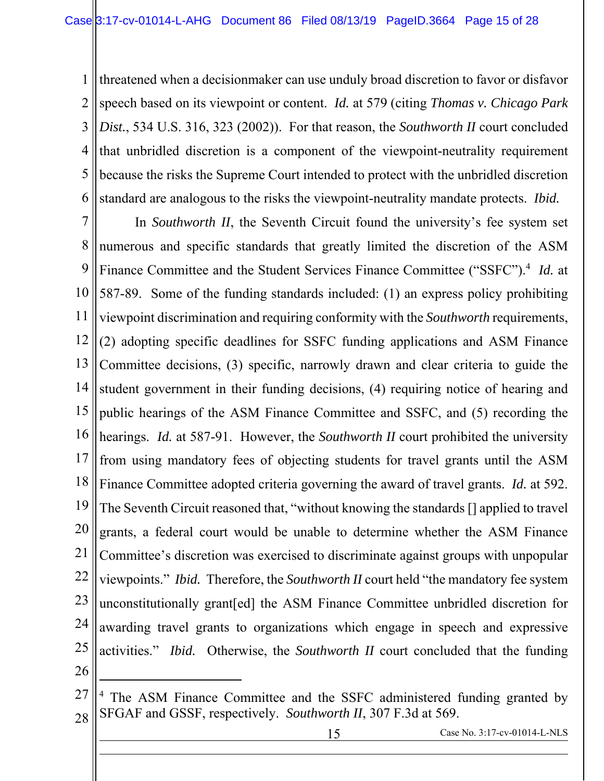1 2 3 4 5 6 threatened when a decisionmaker can use unduly broad discretion to favor or disfavor speech based on its viewpoint or content. *Id.* at 579 (citing *Thomas v. Chicago Park Dist.*, 534 U.S. 316, 323 (2002)). For that reason, the *Southworth II* court concluded that unbridled discretion is a component of the viewpoint-neutrality requirement because the risks the Supreme Court intended to protect with the unbridled discretion standard are analogous to the risks the viewpoint-neutrality mandate protects. *Ibid.* 

7 8 9 10 11 12 13 14 15 16 17 18 19 20 21 22 23 24 25 26 In *Southworth II*, the Seventh Circuit found the university's fee system set numerous and specific standards that greatly limited the discretion of the ASM Finance Committee and the Student Services Finance Committee ("SSFC").4 *Id.* at 587-89. Some of the funding standards included: (1) an express policy prohibiting viewpoint discrimination and requiring conformity with the *Southworth* requirements, (2) adopting specific deadlines for SSFC funding applications and ASM Finance Committee decisions, (3) specific, narrowly drawn and clear criteria to guide the student government in their funding decisions, (4) requiring notice of hearing and public hearings of the ASM Finance Committee and SSFC, and (5) recording the hearings. *Id.* at 587-91. However, the *Southworth II* court prohibited the university from using mandatory fees of objecting students for travel grants until the ASM Finance Committee adopted criteria governing the award of travel grants. *Id.* at 592. The Seventh Circuit reasoned that, "without knowing the standards [] applied to travel grants, a federal court would be unable to determine whether the ASM Finance Committee's discretion was exercised to discriminate against groups with unpopular viewpoints." *Ibid.* Therefore, the *Southworth II* court held "the mandatory fee system unconstitutionally grant[ed] the ASM Finance Committee unbridled discretion for awarding travel grants to organizations which engage in speech and expressive activities." *Ibid.* Otherwise, the *Southworth II* court concluded that the funding

 $\overline{a}$ 

l

<sup>27</sup> 28 <sup>4</sup> The ASM Finance Committee and the SSFC administered funding granted by SFGAF and GSSF, respectively. *Southworth II*, 307 F.3d at 569.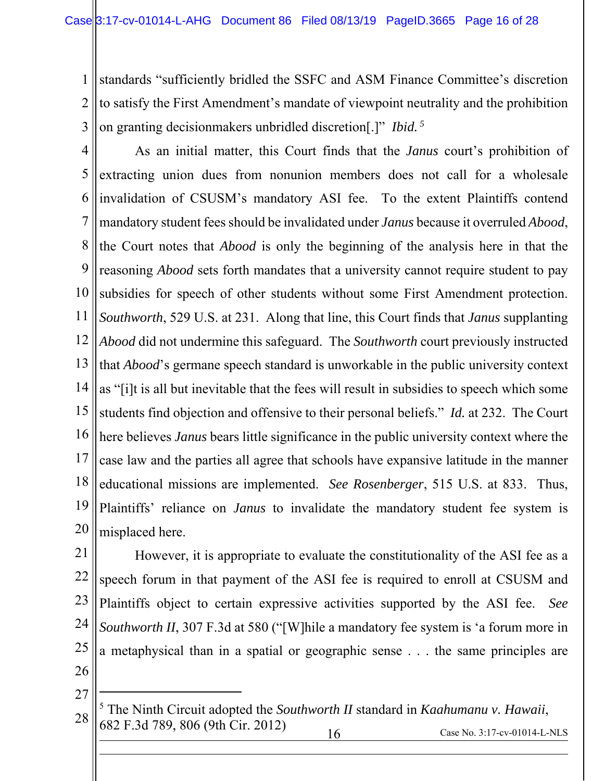1 2 3 standards "sufficiently bridled the SSFC and ASM Finance Committee's discretion to satisfy the First Amendment's mandate of viewpoint neutrality and the prohibition on granting decisionmakers unbridled discretion[.]" *Ibid. 5*

4 5 6 7 8 9 10 11 12 13 14 15 16 17 18 19 20 As an initial matter, this Court finds that the *Janus* court's prohibition of extracting union dues from nonunion members does not call for a wholesale invalidation of CSUSM's mandatory ASI fee. To the extent Plaintiffs contend mandatory student fees should be invalidated under *Janus* because it overruled *Abood*, the Court notes that *Abood* is only the beginning of the analysis here in that the reasoning *Abood* sets forth mandates that a university cannot require student to pay subsidies for speech of other students without some First Amendment protection. *Southworth*, 529 U.S. at 231. Along that line, this Court finds that *Janus* supplanting *Abood* did not undermine this safeguard. The *Southworth* court previously instructed that *Abood*'s germane speech standard is unworkable in the public university context as "[i]t is all but inevitable that the fees will result in subsidies to speech which some students find objection and offensive to their personal beliefs." *Id.* at 232. The Court here believes *Janus* bears little significance in the public university context where the case law and the parties all agree that schools have expansive latitude in the manner educational missions are implemented. *See Rosenberger*, 515 U.S. at 833. Thus, Plaintiffs' reliance on *Janus* to invalidate the mandatory student fee system is misplaced here.

21 22 23 24 25 26 However, it is appropriate to evaluate the constitutionality of the ASI fee as a speech forum in that payment of the ASI fee is required to enroll at CSUSM and Plaintiffs object to certain expressive activities supported by the ASI fee. *See Southworth II*, 307 F.3d at 580 ("[W]hile a mandatory fee system is 'a forum more in a metaphysical than in a spatial or geographic sense . . . the same principles are

27

 $\overline{a}$ 

l

28 16 Case No. 3:17-cv-01014-L-NLS 5 The Ninth Circuit adopted the *Southworth II* standard in *Kaahumanu v. Hawaii*, 682 F.3d 789, 806 (9th Cir. 2012)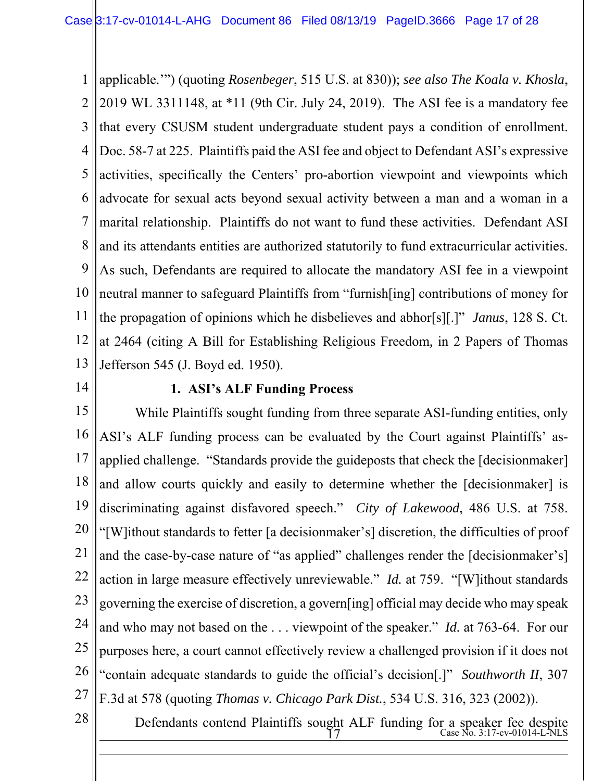1 2 3 4 5 6 7 8 9 10 11 12 13 applicable.'") (quoting *Rosenbeger*, 515 U.S. at 830)); *see also The Koala v. Khosla*, 2019 WL 3311148, at \*11 (9th Cir. July 24, 2019). The ASI fee is a mandatory fee that every CSUSM student undergraduate student pays a condition of enrollment. Doc. 58-7 at 225. Plaintiffs paid the ASI fee and object to Defendant ASI's expressive activities, specifically the Centers' pro-abortion viewpoint and viewpoints which advocate for sexual acts beyond sexual activity between a man and a woman in a marital relationship. Plaintiffs do not want to fund these activities. Defendant ASI and its attendants entities are authorized statutorily to fund extracurricular activities. As such, Defendants are required to allocate the mandatory ASI fee in a viewpoint neutral manner to safeguard Plaintiffs from "furnish[ing] contributions of money for the propagation of opinions which he disbelieves and abhor[s][.]" *Janus*, 128 S. Ct. at 2464 (citing A Bill for Establishing Religious Freedom*,* in 2 Papers of Thomas Jefferson 545 (J. Boyd ed. 1950).

14

### **1. ASI's ALF Funding Process**

15 16 17 18 19 20 21 22 23 24 25 26 27 While Plaintiffs sought funding from three separate ASI-funding entities, only ASI's ALF funding process can be evaluated by the Court against Plaintiffs' asapplied challenge. "Standards provide the guideposts that check the [decisionmaker] and allow courts quickly and easily to determine whether the [decisionmaker] is discriminating against disfavored speech." *City of Lakewood*, 486 U.S. at 758. "[W]ithout standards to fetter [a decisionmaker's] discretion, the difficulties of proof and the case-by-case nature of "as applied" challenges render the [decisionmaker's] action in large measure effectively unreviewable." *Id.* at 759. "[W]ithout standards governing the exercise of discretion, a govern[ing] official may decide who may speak and who may not based on the . . . viewpoint of the speaker." *Id.* at 763-64. For our purposes here, a court cannot effectively review a challenged provision if it does not "contain adequate standards to guide the official's decision[.]" *Southworth II*, 307 F.3d at 578 (quoting *Thomas v. Chicago Park Dist.*, 534 U.S. 316, 323 (2002)).

28

 $\overline{a}$ 

 $\frac{17}{17}$  Case No. 3:17-cv-01014-L-NLS Defendants contend Plaintiffs sought ALF funding for a speaker fee despite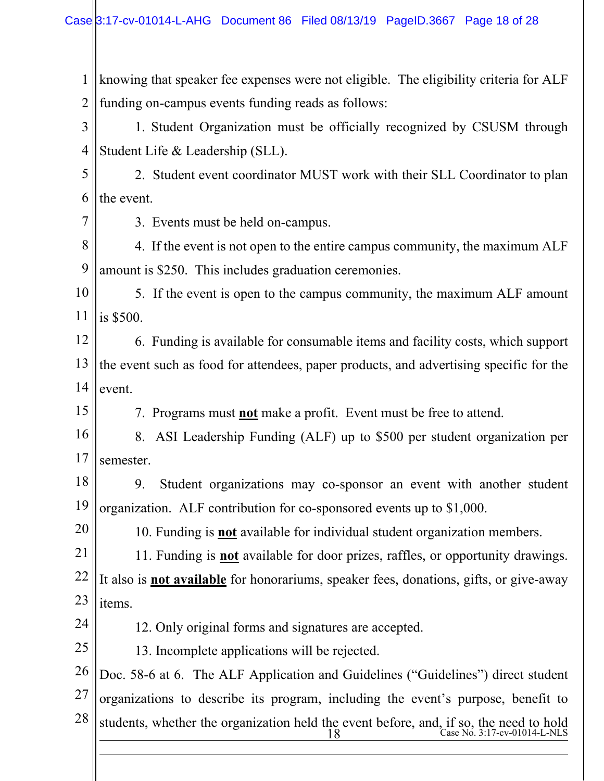1 2 knowing that speaker fee expenses were not eligible. The eligibility criteria for ALF funding on-campus events funding reads as follows:

3 4 1. Student Organization must be officially recognized by CSUSM through Student Life & Leadership (SLL).

5 6 2. Student event coordinator MUST work with their SLL Coordinator to plan the event.

7

3. Events must be held on-campus.

8 9 4. If the event is not open to the entire campus community, the maximum ALF amount is \$250. This includes graduation ceremonies.

10 11 5. If the event is open to the campus community, the maximum ALF amount is \$500.

12 13 14 6. Funding is available for consumable items and facility costs, which support the event such as food for attendees, paper products, and advertising specific for the event.

15

7. Programs must **not** make a profit. Event must be free to attend.

16 17 8. ASI Leadership Funding (ALF) up to \$500 per student organization per semester.

18 19 9. Student organizations may co-sponsor an event with another student organization. ALF contribution for co-sponsored events up to \$1,000.

10. Funding is **not** available for individual student organization members.

21 22 23 11. Funding is **not** available for door prizes, raffles, or opportunity drawings. It also is **not available** for honorariums, speaker fees, donations, gifts, or give-away items.

24

 $\overline{a}$ 

20

12. Only original forms and signatures are accepted.

25 13. Incomplete applications will be rejected.

26 27 28 Doc. 58-6 at 6. The ALF Application and Guidelines ("Guidelines") direct student organizations to describe its program, including the event's purpose, benefit to students, whether the organization held the event before, and, if so, the need to hold

18 Case No. 3:17-cv-01014-L-NLS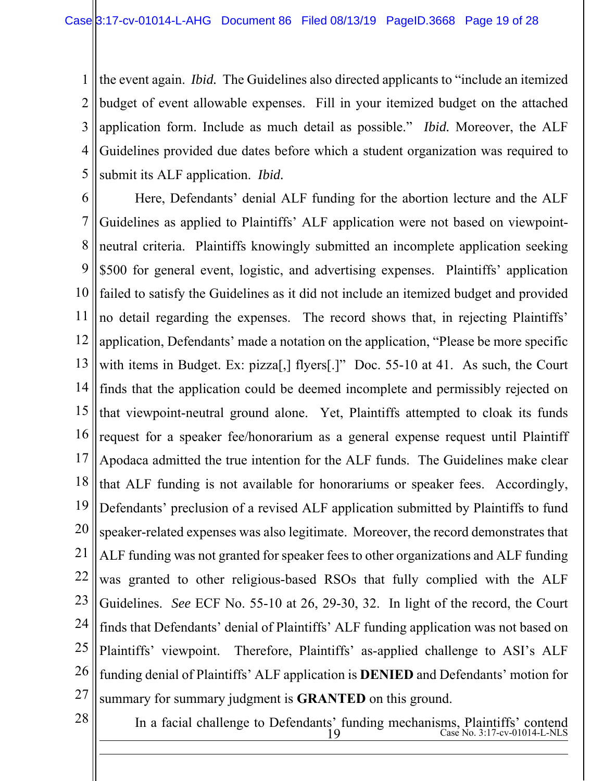1 2 3 4 5 the event again. *Ibid.* The Guidelines also directed applicants to "include an itemized budget of event allowable expenses. Fill in your itemized budget on the attached application form. Include as much detail as possible." *Ibid.* Moreover, the ALF Guidelines provided due dates before which a student organization was required to submit its ALF application. *Ibid.*

6 7 8 9 10 11 12 13 14 15 16 17 18 19 20 21 22 23 24 25 26 27 Here, Defendants' denial ALF funding for the abortion lecture and the ALF Guidelines as applied to Plaintiffs' ALF application were not based on viewpointneutral criteria. Plaintiffs knowingly submitted an incomplete application seeking \$500 for general event, logistic, and advertising expenses. Plaintiffs' application failed to satisfy the Guidelines as it did not include an itemized budget and provided no detail regarding the expenses. The record shows that, in rejecting Plaintiffs' application, Defendants' made a notation on the application, "Please be more specific with items in Budget. Ex: pizza[,] flyers[.]" Doc. 55-10 at 41. As such, the Court finds that the application could be deemed incomplete and permissibly rejected on that viewpoint-neutral ground alone. Yet, Plaintiffs attempted to cloak its funds request for a speaker fee/honorarium as a general expense request until Plaintiff Apodaca admitted the true intention for the ALF funds. The Guidelines make clear that ALF funding is not available for honorariums or speaker fees. Accordingly, Defendants' preclusion of a revised ALF application submitted by Plaintiffs to fund speaker-related expenses was also legitimate. Moreover, the record demonstrates that ALF funding was not granted for speaker fees to other organizations and ALF funding was granted to other religious-based RSOs that fully complied with the ALF Guidelines. *See* ECF No. 55-10 at 26, 29-30, 32. In light of the record, the Court finds that Defendants' denial of Plaintiffs' ALF funding application was not based on Plaintiffs' viewpoint. Therefore, Plaintiffs' as-applied challenge to ASI's ALF funding denial of Plaintiffs' ALF application is **DENIED** and Defendants' motion for summary for summary judgment is **GRANTED** on this ground.

28

 $\overline{a}$ 

 $19$  Case No. 3:17-cv-01014-L-NLS In a facial challenge to Defendants' funding mechanisms, Plaintiffs' contend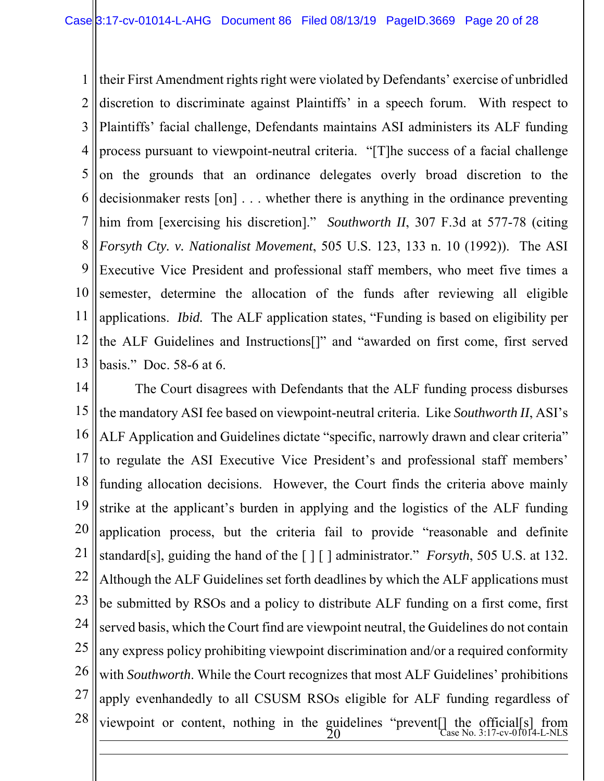1 2 3 4 5 6 7 8 9 10 11 12 13 their First Amendment rights right were violated by Defendants' exercise of unbridled discretion to discriminate against Plaintiffs' in a speech forum. With respect to Plaintiffs' facial challenge, Defendants maintains ASI administers its ALF funding process pursuant to viewpoint-neutral criteria. "[T]he success of a facial challenge on the grounds that an ordinance delegates overly broad discretion to the decisionmaker rests [on] . . . whether there is anything in the ordinance preventing him from [exercising his discretion]." *Southworth II*, 307 F.3d at 577-78 (citing *Forsyth Cty. v. Nationalist Movement*, 505 U.S. 123, 133 n. 10 (1992)). The ASI Executive Vice President and professional staff members, who meet five times a semester, determine the allocation of the funds after reviewing all eligible applications. *Ibid.* The ALF application states, "Funding is based on eligibility per the ALF Guidelines and Instructions[]" and "awarded on first come, first served basis." Doc. 58-6 at 6.

14 15 16 17 18 19 20 21 22 23 24 25 26 27 28  $\frac{20}{20}$   $\frac{1}{20}$   $\frac{1}{20}$   $\frac{1}{20}$   $\frac{1}{20}$   $\frac{1}{20}$   $\frac{1}{20}$   $\frac{1}{20}$   $\frac{1}{20}$   $\frac{1}{20}$   $\frac{1}{20}$   $\frac{1}{20}$   $\frac{1}{20}$   $\frac{1}{20}$   $\frac{1}{20}$   $\frac{1}{20}$   $\frac{1}{20}$   $\frac{1}{20}$   $\frac{1}{20}$   $\frac{1}{20}$   $\overline{a}$ The Court disagrees with Defendants that the ALF funding process disburses the mandatory ASI fee based on viewpoint-neutral criteria. Like *Southworth II*, ASI's ALF Application and Guidelines dictate "specific, narrowly drawn and clear criteria" to regulate the ASI Executive Vice President's and professional staff members' funding allocation decisions. However, the Court finds the criteria above mainly strike at the applicant's burden in applying and the logistics of the ALF funding application process, but the criteria fail to provide "reasonable and definite standard[s], guiding the hand of the [ ] [ ] administrator." *Forsyth*, 505 U.S. at 132. Although the ALF Guidelines set forth deadlines by which the ALF applications must be submitted by RSOs and a policy to distribute ALF funding on a first come, first served basis, which the Court find are viewpoint neutral, the Guidelines do not contain any express policy prohibiting viewpoint discrimination and/or a required conformity with *Southworth*. While the Court recognizes that most ALF Guidelines' prohibitions apply evenhandedly to all CSUSM RSOs eligible for ALF funding regardless of viewpoint or content, nothing in the guidelines "prevent[] the official[s] from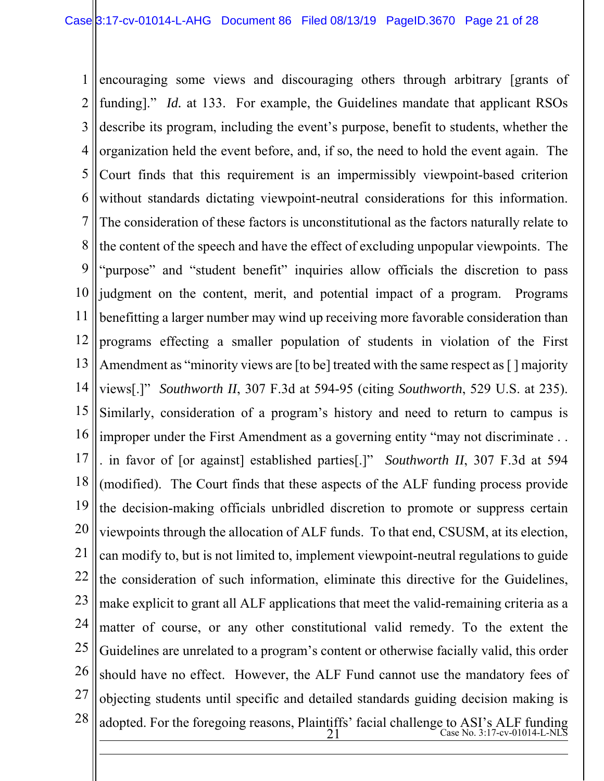1 2 3 4 5 6 7 8 9 10 11 12 13 14 15 16 17 18 19 20 21 22 23 24 25 26 27 28  $\frac{21}{21}$  Case No. 3:17-cv-01014-L-NLS  $\overline{a}$ encouraging some views and discouraging others through arbitrary [grants of funding]." *Id.* at 133. For example, the Guidelines mandate that applicant RSOs describe its program, including the event's purpose, benefit to students, whether the organization held the event before, and, if so, the need to hold the event again. The Court finds that this requirement is an impermissibly viewpoint-based criterion without standards dictating viewpoint-neutral considerations for this information. The consideration of these factors is unconstitutional as the factors naturally relate to the content of the speech and have the effect of excluding unpopular viewpoints. The "purpose" and "student benefit" inquiries allow officials the discretion to pass judgment on the content, merit, and potential impact of a program. Programs benefitting a larger number may wind up receiving more favorable consideration than programs effecting a smaller population of students in violation of the First Amendment as "minority views are [to be] treated with the same respect as [] majority views[.]" *Southworth II*, 307 F.3d at 594-95 (citing *Southworth*, 529 U.S. at 235). Similarly, consideration of a program's history and need to return to campus is improper under the First Amendment as a governing entity "may not discriminate . . . in favor of [or against] established parties[.]" *Southworth II*, 307 F.3d at 594 (modified). The Court finds that these aspects of the ALF funding process provide the decision-making officials unbridled discretion to promote or suppress certain viewpoints through the allocation of ALF funds. To that end, CSUSM, at its election, can modify to, but is not limited to, implement viewpoint-neutral regulations to guide the consideration of such information, eliminate this directive for the Guidelines, make explicit to grant all ALF applications that meet the valid-remaining criteria as a matter of course, or any other constitutional valid remedy. To the extent the Guidelines are unrelated to a program's content or otherwise facially valid, this order should have no effect. However, the ALF Fund cannot use the mandatory fees of objecting students until specific and detailed standards guiding decision making is adopted. For the foregoing reasons, Plaintiffs' facial challenge to ASI's ALF funding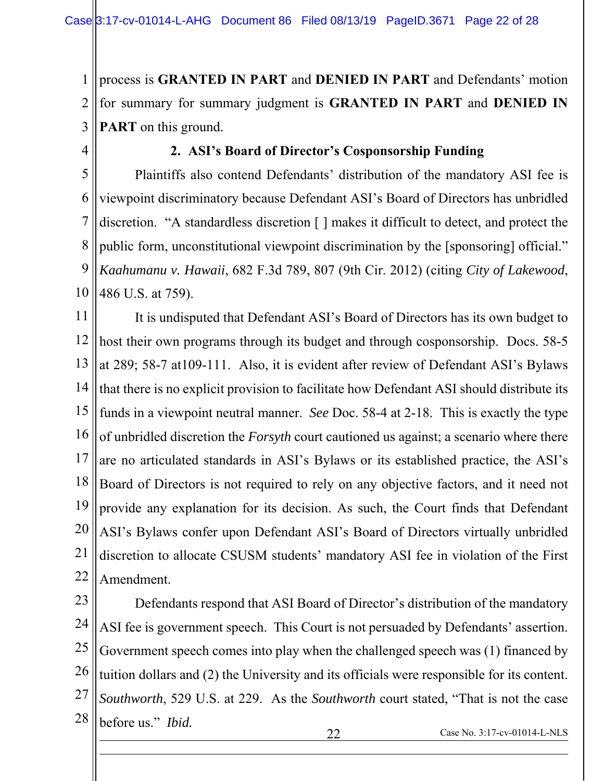1 2 3 process is **GRANTED IN PART** and **DENIED IN PART** and Defendants' motion for summary for summary judgment is **GRANTED IN PART** and **DENIED IN PART** on this ground.

4

 $\overline{a}$ 

### **2. ASI's Board of Director's Cosponsorship Funding**

5 6 7 8 9 10 Plaintiffs also contend Defendants' distribution of the mandatory ASI fee is viewpoint discriminatory because Defendant ASI's Board of Directors has unbridled discretion. "A standardless discretion [ ] makes it difficult to detect, and protect the public form, unconstitutional viewpoint discrimination by the [sponsoring] official." *Kaahumanu v. Hawaii*, 682 F.3d 789, 807 (9th Cir. 2012) (citing *City of Lakewood*, 486 U.S. at 759).

11 12 13 14 15 16 17 18 19 20 21 22 It is undisputed that Defendant ASI's Board of Directors has its own budget to host their own programs through its budget and through cosponsorship. Docs. 58-5 at 289; 58-7 at109-111. Also, it is evident after review of Defendant ASI's Bylaws that there is no explicit provision to facilitate how Defendant ASI should distribute its funds in a viewpoint neutral manner. *See* Doc. 58-4 at 2-18. This is exactly the type of unbridled discretion the *Forsyth* court cautioned us against; a scenario where there are no articulated standards in ASI's Bylaws or its established practice, the ASI's Board of Directors is not required to rely on any objective factors, and it need not provide any explanation for its decision. As such, the Court finds that Defendant ASI's Bylaws confer upon Defendant ASI's Board of Directors virtually unbridled discretion to allocate CSUSM students' mandatory ASI fee in violation of the First Amendment.

23 24 25 26 27 28 Defendants respond that ASI Board of Director's distribution of the mandatory ASI fee is government speech. This Court is not persuaded by Defendants' assertion. Government speech comes into play when the challenged speech was (1) financed by tuition dollars and (2) the University and its officials were responsible for its content. *Southworth*, 529 U.S. at 229. As the *Southworth* court stated, "That is not the case before us." *Ibid.*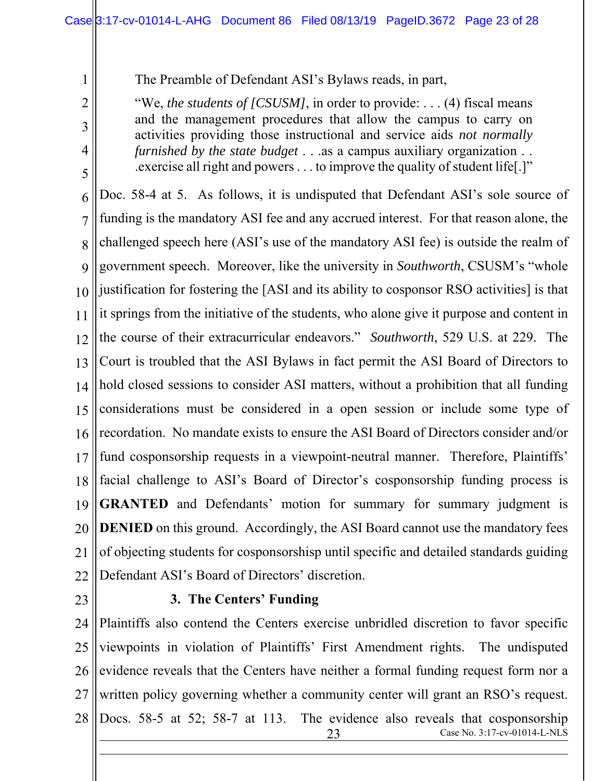The Preamble of Defendant ASI's Bylaws reads, in part,

"We, *the students of [CSUSM]*, in order to provide: . . . (4) fiscal means and the management procedures that allow the campus to carry on activities providing those instructional and service aids *not normally furnished by the state budget* . . .as a campus auxiliary organization . . .exercise all right and powers . . . to improve the quality of student life[.]"

6 7 8  $\overline{Q}$ 10 11 12 13 14 15 16 17 18 19 20 21 22 Doc. 58-4 at 5. As follows, it is undisputed that Defendant ASI's sole source of funding is the mandatory ASI fee and any accrued interest. For that reason alone, the challenged speech here (ASI's use of the mandatory ASI fee) is outside the realm of government speech. Moreover, like the university in *Southworth*, CSUSM's "whole justification for fostering the [ASI and its ability to cosponsor RSO activities] is that it springs from the initiative of the students, who alone give it purpose and content in the course of their extracurricular endeavors." *Southworth*, 529 U.S. at 229. The Court is troubled that the ASI Bylaws in fact permit the ASI Board of Directors to hold closed sessions to consider ASI matters, without a prohibition that all funding considerations must be considered in a open session or include some type of recordation. No mandate exists to ensure the ASI Board of Directors consider and/or fund cosponsorship requests in a viewpoint-neutral manner. Therefore, Plaintiffs' facial challenge to ASI's Board of Director's cosponsorship funding process is **GRANTED** and Defendants' motion for summary for summary judgment is **DENIED** on this ground. Accordingly, the ASI Board cannot use the mandatory fees of objecting students for cosponsorshisp until specific and detailed standards guiding Defendant ASI's Board of Directors' discretion.

23

1

2

3

4

5

#### **3. The Centers' Funding**

24 25 26 27 28 23 Case No. 3:17-cv-01014-L-NLS  $\overline{a}$ Plaintiffs also contend the Centers exercise unbridled discretion to favor specific viewpoints in violation of Plaintiffs' First Amendment rights. The undisputed evidence reveals that the Centers have neither a formal funding request form nor a written policy governing whether a community center will grant an RSO's request. Docs. 58-5 at 52; 58-7 at 113. The evidence also reveals that cosponsorship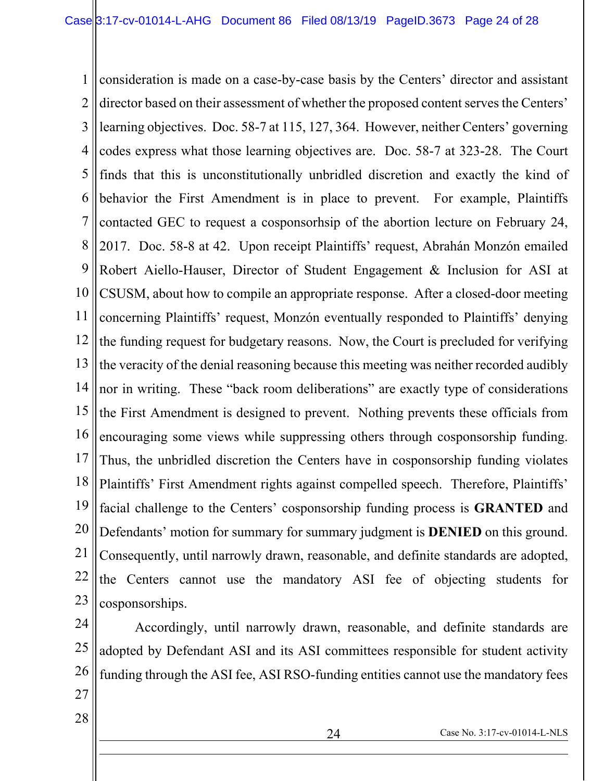1 2 3 4 5 6 7 8 9 10 11 12 13 14 15 16 17 18 19 20 21 22 23 consideration is made on a case-by-case basis by the Centers' director and assistant director based on their assessment of whether the proposed content serves the Centers' learning objectives. Doc. 58-7 at 115, 127, 364. However, neither Centers' governing codes express what those learning objectives are. Doc. 58-7 at 323-28. The Court finds that this is unconstitutionally unbridled discretion and exactly the kind of behavior the First Amendment is in place to prevent. For example, Plaintiffs contacted GEC to request a cosponsorhsip of the abortion lecture on February 24, 2017. Doc. 58-8 at 42. Upon receipt Plaintiffs' request, Abrahán Monzón emailed Robert Aiello-Hauser, Director of Student Engagement & Inclusion for ASI at CSUSM, about how to compile an appropriate response. After a closed-door meeting concerning Plaintiffs' request, Monzón eventually responded to Plaintiffs' denying the funding request for budgetary reasons. Now, the Court is precluded for verifying the veracity of the denial reasoning because this meeting was neither recorded audibly nor in writing. These "back room deliberations" are exactly type of considerations the First Amendment is designed to prevent. Nothing prevents these officials from encouraging some views while suppressing others through cosponsorship funding. Thus, the unbridled discretion the Centers have in cosponsorship funding violates Plaintiffs' First Amendment rights against compelled speech. Therefore, Plaintiffs' facial challenge to the Centers' cosponsorship funding process is **GRANTED** and Defendants' motion for summary for summary judgment is **DENIED** on this ground. Consequently, until narrowly drawn, reasonable, and definite standards are adopted, the Centers cannot use the mandatory ASI fee of objecting students for cosponsorships.

24 25 26 Accordingly, until narrowly drawn, reasonable, and definite standards are adopted by Defendant ASI and its ASI committees responsible for student activity funding through the ASI fee, ASI RSO-funding entities cannot use the mandatory fees

- 27
- 28

 $\overline{a}$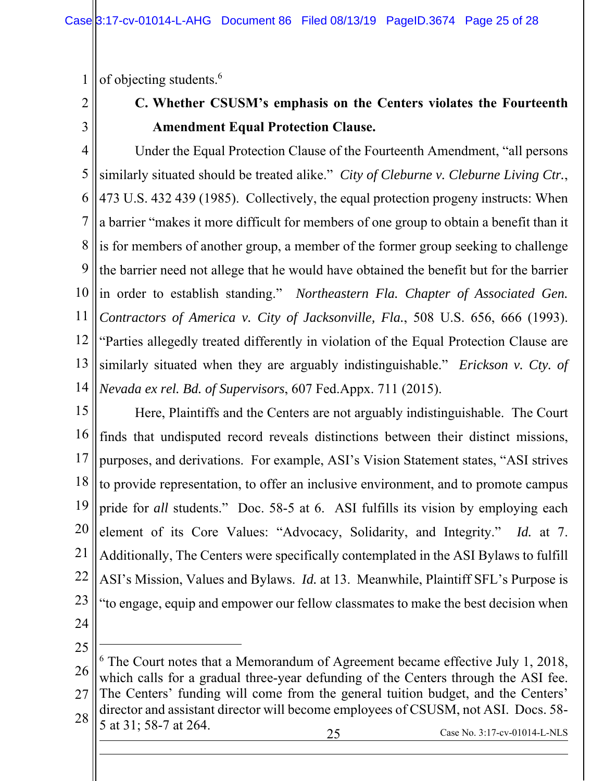1 of objecting students.6

2 3

# **C. Whether CSUSM's emphasis on the Centers violates the Fourteenth Amendment Equal Protection Clause.**

4 5 6 7 8 9 10 11 12 13 14 Under the Equal Protection Clause of the Fourteenth Amendment, "all persons similarly situated should be treated alike." *City of Cleburne v. Cleburne Living Ctr.*, 473 U.S. 432 439 (1985). Collectively, the equal protection progeny instructs: When a barrier "makes it more difficult for members of one group to obtain a benefit than it is for members of another group, a member of the former group seeking to challenge the barrier need not allege that he would have obtained the benefit but for the barrier in order to establish standing." *Northeastern Fla. Chapter of Associated Gen. Contractors of America v. City of Jacksonville, Fla.*, 508 U.S. 656, 666 (1993). "Parties allegedly treated differently in violation of the Equal Protection Clause are similarly situated when they are arguably indistinguishable." *Erickson v. Cty. of Nevada ex rel. Bd. of Supervisors*, 607 Fed.Appx. 711 (2015).

15 16 17 18 19 20 21 22 23 Here, Plaintiffs and the Centers are not arguably indistinguishable. The Court finds that undisputed record reveals distinctions between their distinct missions, purposes, and derivations. For example, ASI's Vision Statement states, "ASI strives to provide representation, to offer an inclusive environment, and to promote campus pride for *all* students." Doc. 58-5 at 6. ASI fulfills its vision by employing each element of its Core Values: "Advocacy, Solidarity, and Integrity." *Id.* at 7. Additionally, The Centers were specifically contemplated in the ASI Bylaws to fulfill ASI's Mission, Values and Bylaws. *Id.* at 13. Meanwhile, Plaintiff SFL's Purpose is "to engage, equip and empower our fellow classmates to make the best decision when

24

 $\overline{a}$ 

<sup>25</sup> 26 27 28 25 Case No. 3:17-cv-01014-L-NLS  $\overline{a}$ <sup>6</sup> The Court notes that a Memorandum of Agreement became effective July 1, 2018, which calls for a gradual three-year defunding of the Centers through the ASI fee. The Centers' funding will come from the general tuition budget, and the Centers' director and assistant director will become employees of CSUSM, not ASI. Docs. 58- 5 at 31; 58-7 at 264.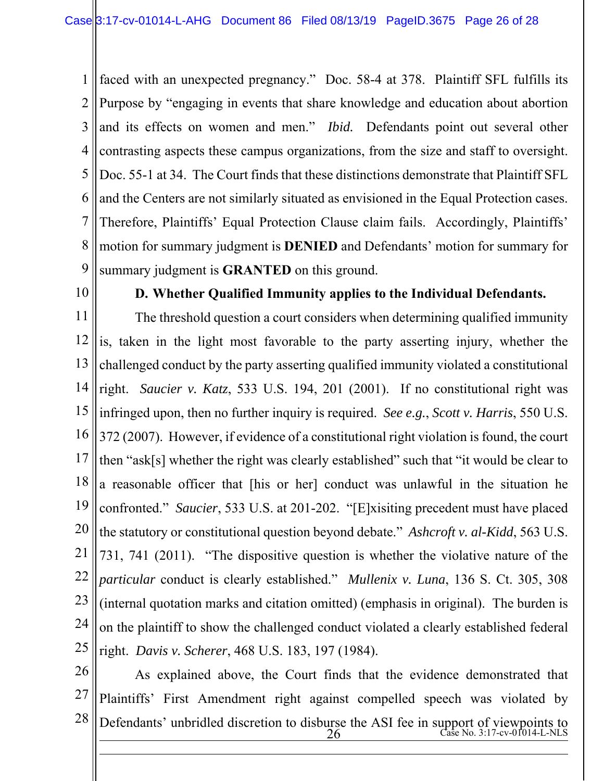1 2 3 4 5 6 7 8 9 faced with an unexpected pregnancy." Doc. 58-4 at 378. Plaintiff SFL fulfills its Purpose by "engaging in events that share knowledge and education about abortion and its effects on women and men." *Ibid.* Defendants point out several other contrasting aspects these campus organizations, from the size and staff to oversight. Doc. 55-1 at 34. The Court finds that these distinctions demonstrate that Plaintiff SFL and the Centers are not similarly situated as envisioned in the Equal Protection cases. Therefore, Plaintiffs' Equal Protection Clause claim fails. Accordingly, Plaintiffs' motion for summary judgment is **DENIED** and Defendants' motion for summary for summary judgment is **GRANTED** on this ground.

10

#### **D. Whether Qualified Immunity applies to the Individual Defendants.**

11 12 13 14 15 16 17 18 19 20 21 22 23 24 25 The threshold question a court considers when determining qualified immunity is, taken in the light most favorable to the party asserting injury, whether the challenged conduct by the party asserting qualified immunity violated a constitutional right. *Saucier v. Katz*, 533 U.S. 194, 201 (2001). If no constitutional right was infringed upon, then no further inquiry is required. *See e.g.*, *Scott v. Harris*, 550 U.S. 372 (2007). However, if evidence of a constitutional right violation is found, the court then "ask[s] whether the right was clearly established" such that "it would be clear to a reasonable officer that [his or her] conduct was unlawful in the situation he confronted." *Saucier*, 533 U.S. at 201-202. "[E]xisiting precedent must have placed the statutory or constitutional question beyond debate." *Ashcroft v. al-Kidd*, 563 U.S. 731, 741 (2011). "The dispositive question is whether the violative nature of the *particular* conduct is clearly established." *Mullenix v. Luna*, 136 S. Ct. 305, 308 (internal quotation marks and citation omitted) (emphasis in original). The burden is on the plaintiff to show the challenged conduct violated a clearly established federal right. *Davis v. Scherer*, 468 U.S. 183, 197 (1984).

26 27 28  $26$   $\text{Case No. } 3:17\text{-}\text{cv-01014-L-NLS}$  $\overline{a}$ As explained above, the Court finds that the evidence demonstrated that Plaintiffs' First Amendment right against compelled speech was violated by Defendants' unbridled discretion to disburse the ASI fee in support of viewpoints to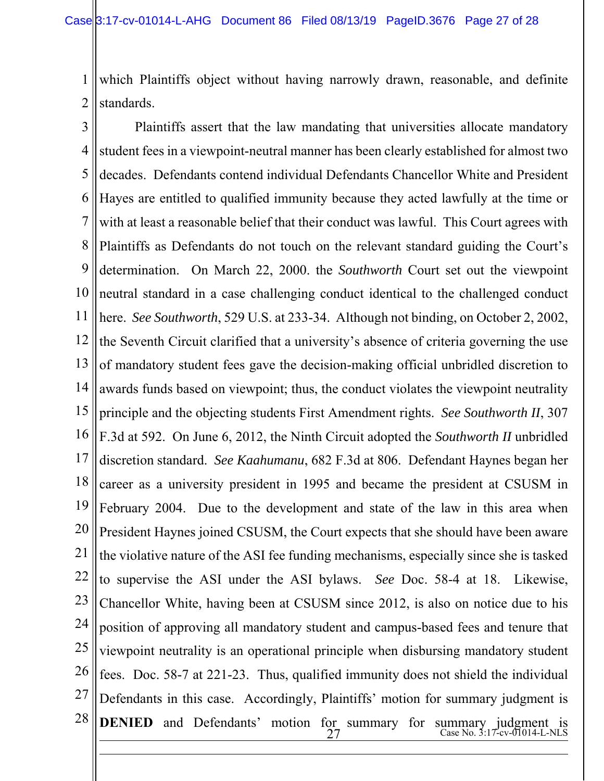1 2 which Plaintiffs object without having narrowly drawn, reasonable, and definite standards.

3 4 5 6 7 8 9 10 11 12 13 14 15 16 17 18 19 20 21 22 23 24 25 26 27 28  $27$  Case No. 3:17-cv-01014-L-NLS  $\overline{a}$ Plaintiffs assert that the law mandating that universities allocate mandatory student fees in a viewpoint-neutral manner has been clearly established for almost two decades. Defendants contend individual Defendants Chancellor White and President Hayes are entitled to qualified immunity because they acted lawfully at the time or with at least a reasonable belief that their conduct was lawful. This Court agrees with Plaintiffs as Defendants do not touch on the relevant standard guiding the Court's determination. On March 22, 2000. the *Southworth* Court set out the viewpoint neutral standard in a case challenging conduct identical to the challenged conduct here. *See Southworth*, 529 U.S. at 233-34. Although not binding, on October 2, 2002, the Seventh Circuit clarified that a university's absence of criteria governing the use of mandatory student fees gave the decision-making official unbridled discretion to awards funds based on viewpoint; thus, the conduct violates the viewpoint neutrality principle and the objecting students First Amendment rights. *See Southworth II*, 307 F.3d at 592. On June 6, 2012, the Ninth Circuit adopted the *Southworth II* unbridled discretion standard. *See Kaahumanu*, 682 F.3d at 806. Defendant Haynes began her career as a university president in 1995 and became the president at CSUSM in February 2004. Due to the development and state of the law in this area when President Haynes joined CSUSM, the Court expects that she should have been aware the violative nature of the ASI fee funding mechanisms, especially since she is tasked to supervise the ASI under the ASI bylaws. *See* Doc. 58-4 at 18. Likewise, Chancellor White, having been at CSUSM since 2012, is also on notice due to his position of approving all mandatory student and campus-based fees and tenure that viewpoint neutrality is an operational principle when disbursing mandatory student fees. Doc. 58-7 at 221-23. Thus, qualified immunity does not shield the individual Defendants in this case. Accordingly, Plaintiffs' motion for summary judgment is **DENIED** and Defendants' motion for summary for summary judgment is